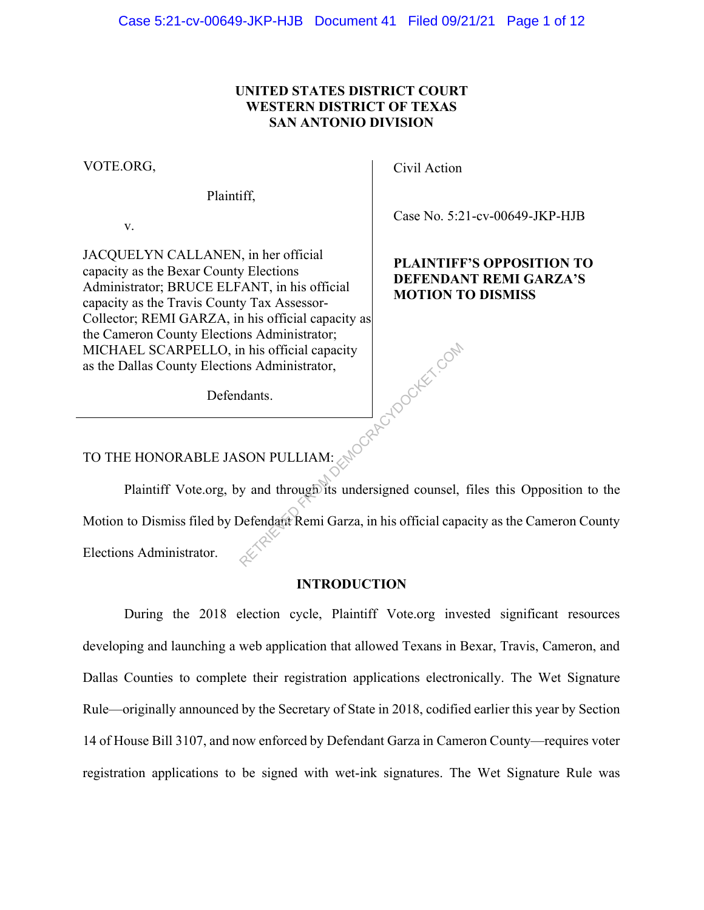## UNITED STATES DISTRICT COURT WESTERN DISTRICT OF TEXAS SAN ANTONIO DIVISION

VOTE.ORG,

Plaintiff,

v.

JACQUELYN CALLANEN, in her official capacity as the Bexar County Elections Administrator; BRUCE ELFANT, in his official capacity as the Travis County Tax Assessor-Collector; REMI GARZA, in his official capacity as the Cameron County Elections Administrator; MICHAEL SCARPELLO, in his official capacity as the Dallas County Elections Administrator, EMIOCRACYDOCKET.COM

Defendants.

Civil Action

Case No. 5:21-cv-00649-JKP-HJB

# PLAINTIFF'S OPPOSITION TO DEFENDANT REMI GARZA'S MOTION TO DISMISS

# TO THE HONORABLE JASON PULLIAM:

Plaintiff Vote.org, by and through its undersigned counsel, files this Opposition to the Motion to Dismiss filed by Defendant Remi Garza, in his official capacity as the Cameron County Elections Administrator.

### INTRODUCTION

During the 2018 election cycle, Plaintiff Vote.org invested significant resources developing and launching a web application that allowed Texans in Bexar, Travis, Cameron, and Dallas Counties to complete their registration applications electronically. The Wet Signature Rule—originally announced by the Secretary of State in 2018, codified earlier this year by Section 14 of House Bill 3107, and now enforced by Defendant Garza in Cameron County—requires voter registration applications to be signed with wet-ink signatures. The Wet Signature Rule was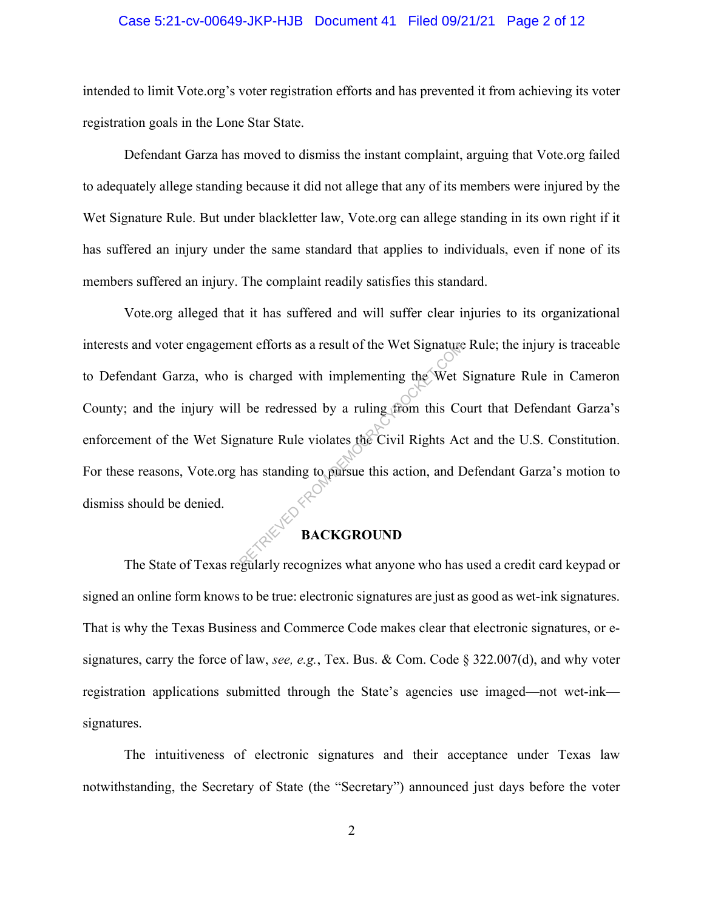### Case 5:21-cv-00649-JKP-HJB Document 41 Filed 09/21/21 Page 2 of 12

intended to limit Vote.org's voter registration efforts and has prevented it from achieving its voter registration goals in the Lone Star State.

Defendant Garza has moved to dismiss the instant complaint, arguing that Vote.org failed to adequately allege standing because it did not allege that any of its members were injured by the Wet Signature Rule. But under blackletter law, Vote.org can allege standing in its own right if it has suffered an injury under the same standard that applies to individuals, even if none of its members suffered an injury. The complaint readily satisfies this standard.

Vote.org alleged that it has suffered and will suffer clear injuries to its organizational interests and voter engagement efforts as a result of the Wet Signature Rule; the injury is traceable to Defendant Garza, who is charged with implementing the Wet Signature Rule in Cameron County; and the injury will be redressed by a ruling from this Court that Defendant Garza's enforcement of the Wet Signature Rule violates the Civil Rights Act and the U.S. Constitution. For these reasons, Vote.org has standing to pursue this action, and Defendant Garza's motion to dismiss should be denied. ent efforts as a result of the Wet Signature<br>
s charged with implementing the Wet<br>
l be redressed by a ruling from this Co<br>
nature Rule violates the Civil Rights Ac<br>
has standing to pursue this action, and D<br> **BACKGROUND** 

# **BACKGROUND**

The State of Texas regularly recognizes what anyone who has used a credit card keypad or signed an online form knows to be true: electronic signatures are just as good as wet-ink signatures. That is why the Texas Business and Commerce Code makes clear that electronic signatures, or esignatures, carry the force of law, see, e.g., Tex. Bus. & Com. Code § 322.007(d), and why voter registration applications submitted through the State's agencies use imaged—not wet-ink signatures.

The intuitiveness of electronic signatures and their acceptance under Texas law notwithstanding, the Secretary of State (the "Secretary") announced just days before the voter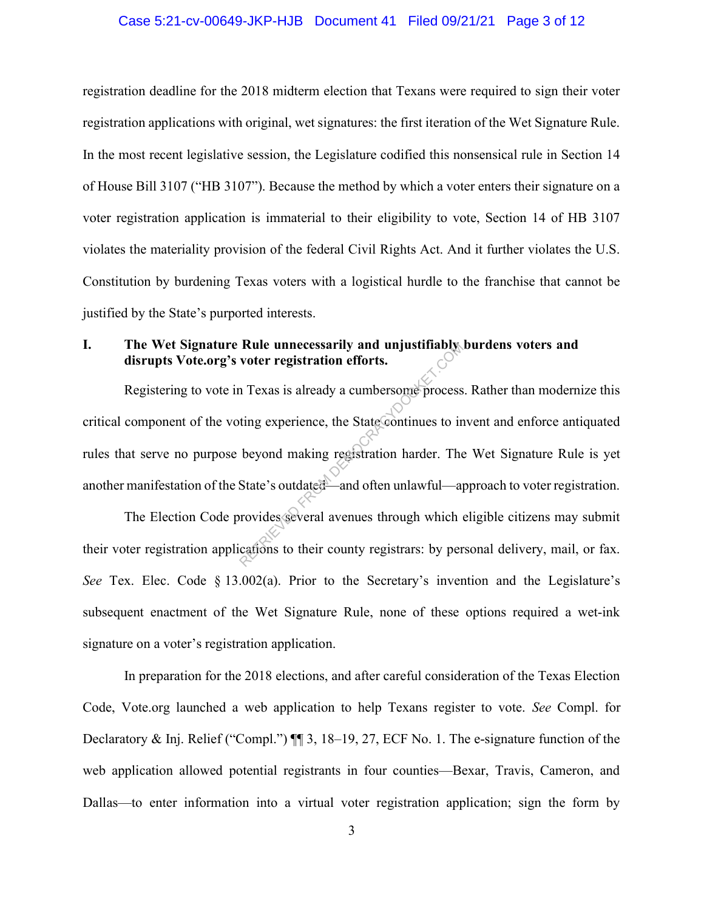#### Case 5:21-cv-00649-JKP-HJB Document 41 Filed 09/21/21 Page 3 of 12

registration deadline for the 2018 midterm election that Texans were required to sign their voter registration applications with original, wet signatures: the first iteration of the Wet Signature Rule. In the most recent legislative session, the Legislature codified this nonsensical rule in Section 14 of House Bill 3107 ("HB 3107"). Because the method by which a voter enters their signature on a voter registration application is immaterial to their eligibility to vote, Section 14 of HB 3107 violates the materiality provision of the federal Civil Rights Act. And it further violates the U.S. Constitution by burdening Texas voters with a logistical hurdle to the franchise that cannot be justified by the State's purported interests.

## I. The Wet Signature Rule unnecessarily and unjustifiably burdens voters and disrupts Vote.org's voter registration efforts.

Registering to vote in Texas is already a cumbersome process. Rather than modernize this critical component of the voting experience, the State continues to invent and enforce antiquated rules that serve no purpose beyond making registration harder. The Wet Signature Rule is yet another manifestation of the State's outdated—and often unlawful—approach to voter registration. Rule unnecessarily and unjustifiably<br>voter registration efforts.<br>Texas is already a cumbersome process<br>ting experience, the State continues to in<br>beyond making registration harder. The<br>State's outdated—and often unlawful—a

The Election Code provides several avenues through which eligible citizens may submit their voter registration applications to their county registrars: by personal delivery, mail, or fax. See Tex. Elec. Code § 13.002(a). Prior to the Secretary's invention and the Legislature's subsequent enactment of the Wet Signature Rule, none of these options required a wet-ink signature on a voter's registration application.

In preparation for the 2018 elections, and after careful consideration of the Texas Election Code, Vote.org launched a web application to help Texans register to vote. See Compl. for Declaratory & Inj. Relief ("Compl.")  $\P$  3, 18–19, 27, ECF No. 1. The e-signature function of the web application allowed potential registrants in four counties—Bexar, Travis, Cameron, and Dallas—to enter information into a virtual voter registration application; sign the form by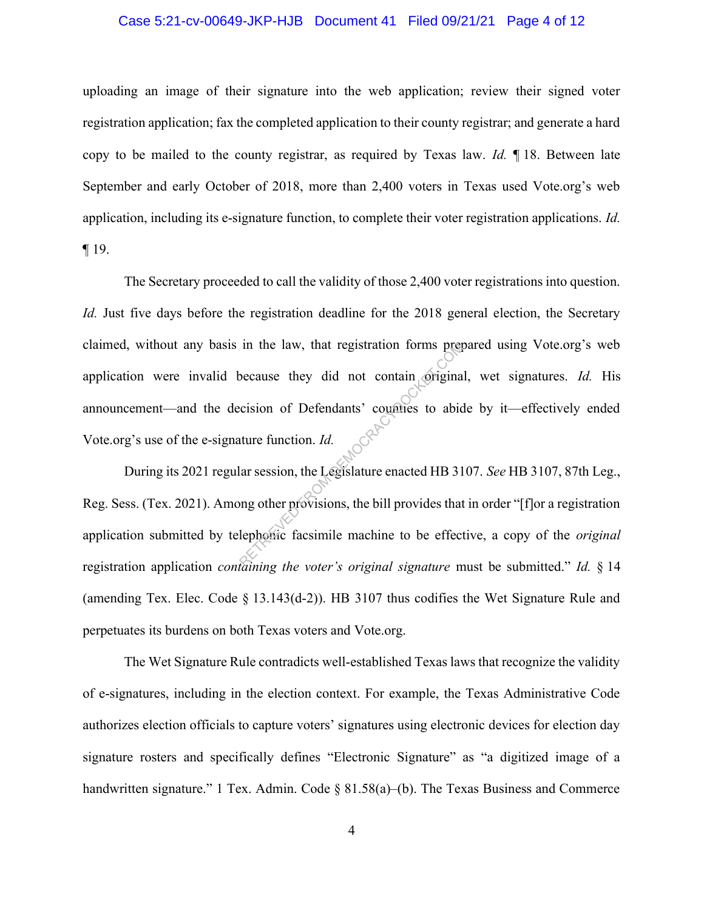### Case 5:21-cv-00649-JKP-HJB Document 41 Filed 09/21/21 Page 4 of 12

uploading an image of their signature into the web application; review their signed voter registration application; fax the completed application to their county registrar; and generate a hard copy to be mailed to the county registrar, as required by Texas law. Id.  $\P$  18. Between late September and early October of 2018, more than 2,400 voters in Texas used Vote.org's web application, including its e-signature function, to complete their voter registration applications. Id. ¶ 19.

The Secretary proceeded to call the validity of those 2,400 voter registrations into question. Id. Just five days before the registration deadline for the 2018 general election, the Secretary claimed, without any basis in the law, that registration forms prepared using Vote.org's web application were invalid because they did not contain original, wet signatures. Id. His announcement—and the decision of Defendants' counties to abide by it—effectively ended Vote.org's use of the e-signature function. Id. In the law, that registration forms preproceduse they did not contain origina<br>
ecision of Defendants' counties to abid<br>
ture function. Id.<br>
lar session, the Legislature enacted HB 31<br>
ong other provisions, the bill provid

During its 2021 regular session, the Legislature enacted HB 3107. See HB 3107, 87th Leg., Reg. Sess. (Tex. 2021). Among other provisions, the bill provides that in order "[f]or a registration application submitted by telephonic facsimile machine to be effective, a copy of the *original* registration application *containing the voter's original signature* must be submitted." *Id.*  $\S$  14 (amending Tex. Elec. Code § 13.143(d-2)). HB 3107 thus codifies the Wet Signature Rule and perpetuates its burdens on both Texas voters and Vote.org.

The Wet Signature Rule contradicts well-established Texas laws that recognize the validity of e-signatures, including in the election context. For example, the Texas Administrative Code authorizes election officials to capture voters' signatures using electronic devices for election day signature rosters and specifically defines "Electronic Signature" as "a digitized image of a handwritten signature." 1 Tex. Admin. Code § 81.58(a)–(b). The Texas Business and Commerce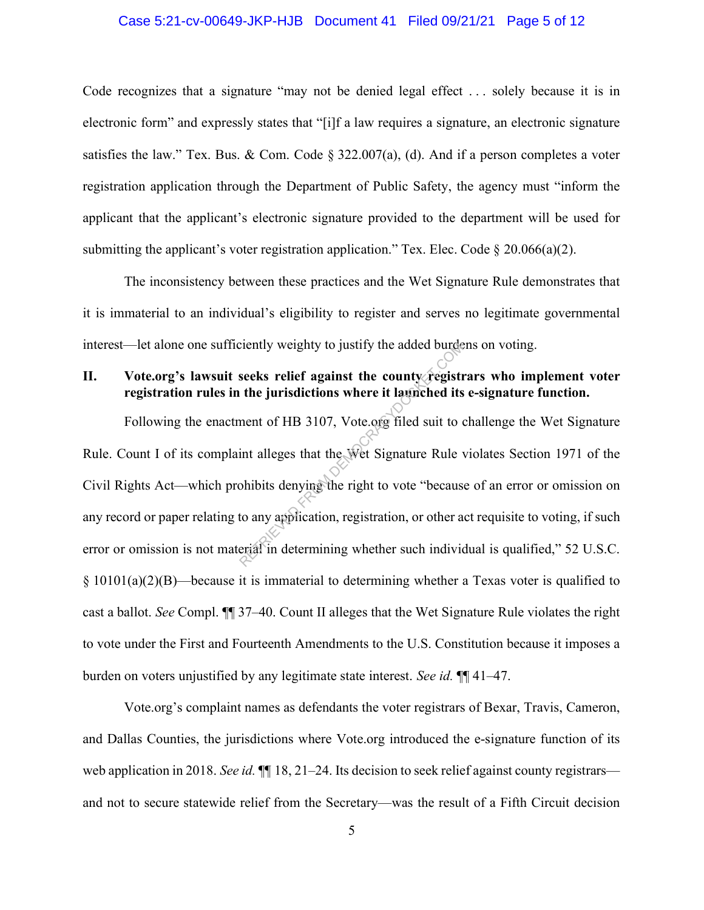#### Case 5:21-cv-00649-JKP-HJB Document 41 Filed 09/21/21 Page 5 of 12

Code recognizes that a signature "may not be denied legal effect . . . solely because it is in electronic form" and expressly states that "[i]f a law requires a signature, an electronic signature satisfies the law." Tex. Bus. & Com. Code  $\S 322.007(a)$ , (d). And if a person completes a voter registration application through the Department of Public Safety, the agency must "inform the applicant that the applicant's electronic signature provided to the department will be used for submitting the applicant's voter registration application." Tex. Elec. Code  $\S 20.066(a)(2)$ .

The inconsistency between these practices and the Wet Signature Rule demonstrates that it is immaterial to an individual's eligibility to register and serves no legitimate governmental interest—let alone one sufficiently weighty to justify the added burdens on voting.

# II. Vote.org's lawsuit seeks relief against the county registrars who implement voter registration rules in the jurisdictions where it launched its e-signature function.

Following the enactment of HB 3107, Vote.org filed suit to challenge the Wet Signature Rule. Count I of its complaint alleges that the Wet Signature Rule violates Section 1971 of the Civil Rights Act—which prohibits denying the right to vote "because of an error or omission on any record or paper relating to any application, registration, or other act requisite to voting, if such error or omission is not material in determining whether such individual is qualified," 52 U.S.C. § 10101(a)(2)(B)—because it is immaterial to determining whether a Texas voter is qualified to cast a ballot. See Compl. ¶¶ 37–40. Count II alleges that the Wet Signature Rule violates the right to vote under the First and Fourteenth Amendments to the U.S. Constitution because it imposes a burden on voters unjustified by any legitimate state interest. See id.  $\P$  41–47. Exercity weighty to justify the added burdence<br>
seeks relief against the county registive<br>
the jurisdictions where it launched its<br>
ment of HB 3107, Vote original suit to<br>
int alleges that the Wet Signature Rule<br>
ohibits d

Vote.org's complaint names as defendants the voter registrars of Bexar, Travis, Cameron, and Dallas Counties, the jurisdictions where Vote.org introduced the e-signature function of its web application in 2018. See id.  $\P$  18, 21–24. Its decision to seek relief against county registrars and not to secure statewide relief from the Secretary—was the result of a Fifth Circuit decision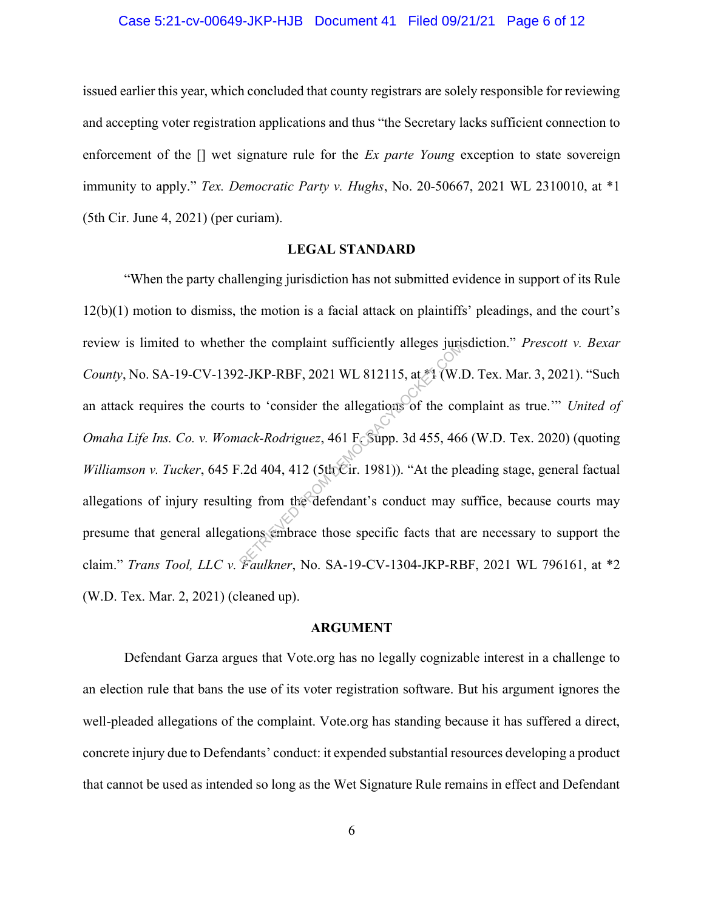#### Case 5:21-cv-00649-JKP-HJB Document 41 Filed 09/21/21 Page 6 of 12

issued earlier this year, which concluded that county registrars are solely responsible for reviewing and accepting voter registration applications and thus "the Secretary lacks sufficient connection to enforcement of the [] wet signature rule for the *Ex parte Young* exception to state sovereign immunity to apply." Tex. Democratic Party v. Hughs, No. 20-50667, 2021 WL 2310010, at \*1 (5th Cir. June 4, 2021) (per curiam).

#### LEGAL STANDARD

"When the party challenging jurisdiction has not submitted evidence in support of its Rule 12(b)(1) motion to dismiss, the motion is a facial attack on plaintiffs' pleadings, and the court's review is limited to whether the complaint sufficiently alleges jurisdiction." Prescott v. Bexar County, No. SA-19-CV-1392-JKP-RBF, 2021 WL 812115, at \*1 (W.D. Tex. Mar. 3, 2021). "Such an attack requires the courts to 'consider the allegations of the complaint as true.'" United of Omaha Life Ins. Co. v. Womack-Rodriguez, 461 F. Supp. 3d 455, 466 (W.D. Tex. 2020) (quoting Williamson v. Tucker, 645 F.2d 404, 412 (5th Cir. 1981)). "At the pleading stage, general factual allegations of injury resulting from the defendant's conduct may suffice, because courts may presume that general allegations embrace those specific facts that are necessary to support the claim." Trans Tool, LLC v. Faulkner, No. SA-19-CV-1304-JKP-RBF, 2021 WL 796161, at \*2 (W.D. Tex. Mar. 2, 2021) (cleaned up). 2-JKP-RBF, 2021 WL 812115, at  $*$ 1 (W.1<br>
s to 'consider the allegations of the consider the allegations of the consider the allegations of the consider the conduct Rodriguez, 461 F. Supp. 3d 455, 466<br>  $2d$  404, 412 (5thCi

### ARGUMENT

Defendant Garza argues that Vote.org has no legally cognizable interest in a challenge to an election rule that bans the use of its voter registration software. But his argument ignores the well-pleaded allegations of the complaint. Vote.org has standing because it has suffered a direct, concrete injury due to Defendants' conduct: it expended substantial resources developing a product that cannot be used as intended so long as the Wet Signature Rule remains in effect and Defendant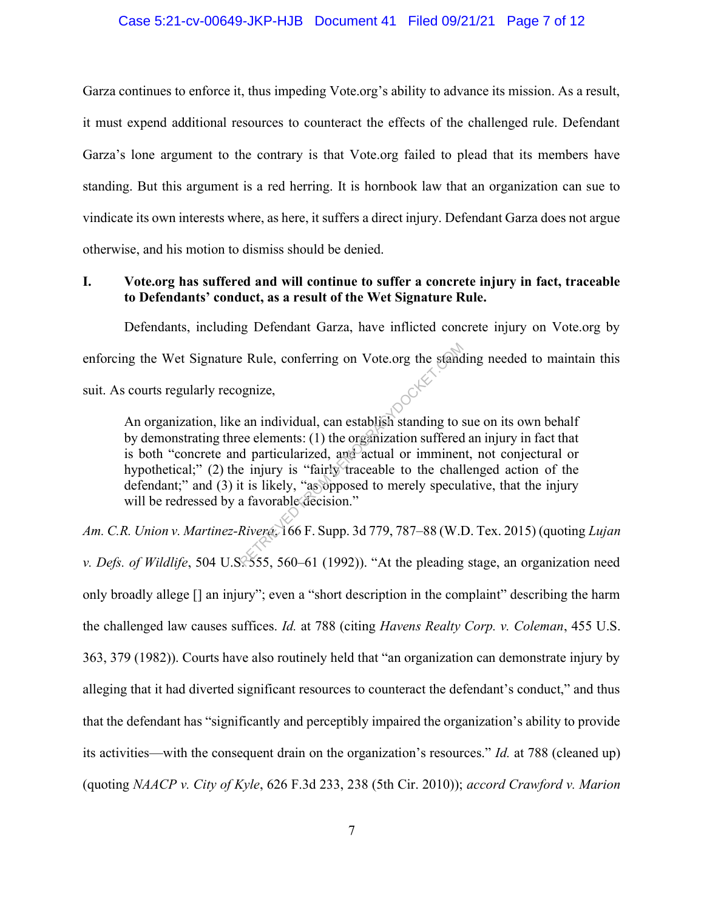#### Case 5:21-cv-00649-JKP-HJB Document 41 Filed 09/21/21 Page 7 of 12

Garza continues to enforce it, thus impeding Vote.org's ability to advance its mission. As a result, it must expend additional resources to counteract the effects of the challenged rule. Defendant Garza's lone argument to the contrary is that Vote.org failed to plead that its members have standing. But this argument is a red herring. It is hornbook law that an organization can sue to vindicate its own interests where, as here, it suffers a direct injury. Defendant Garza does not argue otherwise, and his motion to dismiss should be denied.

## I. Vote.org has suffered and will continue to suffer a concrete injury in fact, traceable to Defendants' conduct, as a result of the Wet Signature Rule.

Defendants, including Defendant Garza, have inflicted concrete injury on Vote.org by enforcing the Wet Signature Rule, conferring on Vote.org the standing needed to maintain this suit. As courts regularly recognize, suit. As courts regularly recognize,

An organization, like an individual, can establish standing to sue on its own behalf by demonstrating three elements: (1) the organization suffered an injury in fact that is both "concrete and particularized, and actual or imminent, not conjectural or hypothetical;" (2) the injury is "fairly traceable to the challenged action of the defendant;" and (3) it is likely, "as opposed to merely speculative, that the injury will be redressed by a favorable decision." Example Rule, conferring on Vote.org the stand<br>panize,<br>example in individual, can establish standing to see elements: (1) the organization suffered<br>d particularized, and actual or imminen<br>e injury is "fairly traceable to t

Am. C.R. Union v. Martinez-Rivera, 166 F. Supp. 3d 779, 787–88 (W.D. Tex. 2015) (quoting Lujan v. Defs. of Wildlife, 504 U.S. 555, 560–61 (1992)). "At the pleading stage, an organization need only broadly allege [] an injury"; even a "short description in the complaint" describing the harm the challenged law causes suffices. Id. at 788 (citing Havens Realty Corp. v. Coleman, 455 U.S. 363, 379 (1982)). Courts have also routinely held that "an organization can demonstrate injury by alleging that it had diverted significant resources to counteract the defendant's conduct," and thus that the defendant has "significantly and perceptibly impaired the organization's ability to provide its activities—with the consequent drain on the organization's resources." Id. at 788 (cleaned up) (quoting NAACP v. City of Kyle, 626 F.3d 233, 238 (5th Cir. 2010)); accord Crawford v. Marion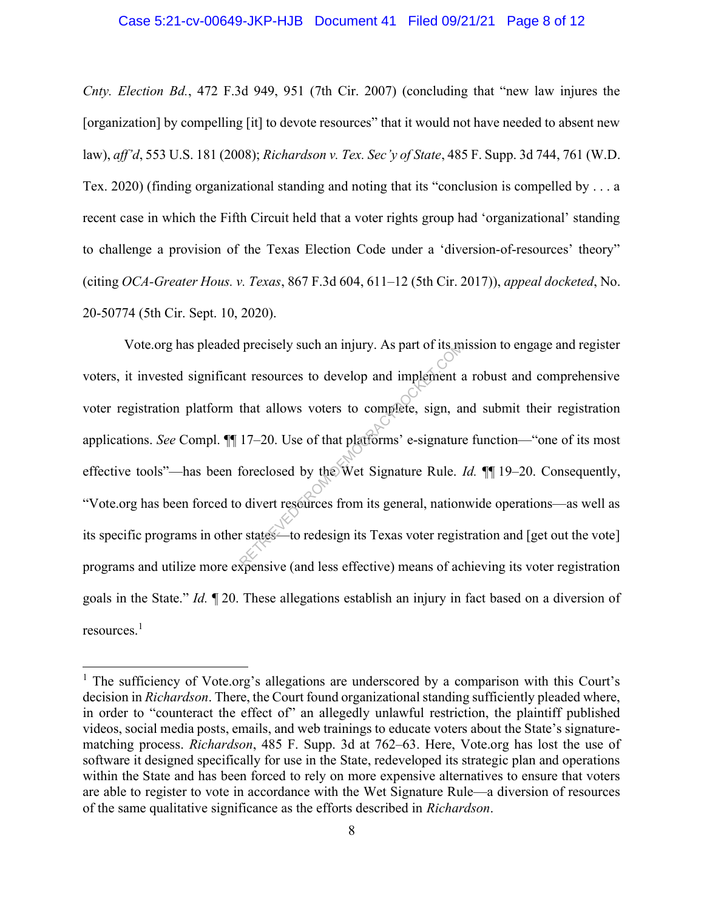#### Case 5:21-cv-00649-JKP-HJB Document 41 Filed 09/21/21 Page 8 of 12

Cnty. Election Bd., 472 F.3d 949, 951 (7th Cir. 2007) (concluding that "new law injures the [organization] by compelling [it] to devote resources" that it would not have needed to absent new law), aff'd, 553 U.S. 181 (2008); Richardson v. Tex. Sec'y of State, 485 F. Supp. 3d 744, 761 (W.D. Tex. 2020) (finding organizational standing and noting that its "conclusion is compelled by . . . a recent case in which the Fifth Circuit held that a voter rights group had 'organizational' standing to challenge a provision of the Texas Election Code under a 'diversion-of-resources' theory" (citing OCA-Greater Hous. v. Texas, 867 F.3d 604, 611–12 (5th Cir. 2017)), appeal docketed, No. 20-50774 (5th Cir. Sept. 10, 2020).

Vote.org has pleaded precisely such an injury. As part of its mission to engage and register voters, it invested significant resources to develop and implement a robust and comprehensive voter registration platform that allows voters to complete, sign, and submit their registration applications. See Compl. ¶¶ 17–20. Use of that platforms' e-signature function—"one of its most effective tools"—has been foreclosed by the Wet Signature Rule. Id.  $||$  19–20. Consequently, "Vote.org has been forced to divert resources from its general, nationwide operations—as well as its specific programs in other states—to redesign its Texas voter registration and [get out the vote] programs and utilize more expensive (and less effective) means of achieving its voter registration goals in the State." Id. ¶ 20. These allegations establish an injury in fact based on a diversion of resources.<sup>1</sup> precisely such an injury. As part of its in<br>the resources to develop and implement a<br>that allows voters to complete, sign, a<br>17–20. Use of that platforms' e-signature<br>foreclosed by the Wet Signature Rule.<br>o divert resource

<sup>&</sup>lt;sup>1</sup> The sufficiency of Vote.org's allegations are underscored by a comparison with this Court's decision in *Richardson*. There, the Court found organizational standing sufficiently pleaded where, in order to "counteract the effect of" an allegedly unlawful restriction, the plaintiff published videos, social media posts, emails, and web trainings to educate voters about the State's signaturematching process. Richardson, 485 F. Supp. 3d at 762–63. Here, Vote.org has lost the use of software it designed specifically for use in the State, redeveloped its strategic plan and operations within the State and has been forced to rely on more expensive alternatives to ensure that voters are able to register to vote in accordance with the Wet Signature Rule—a diversion of resources of the same qualitative significance as the efforts described in Richardson.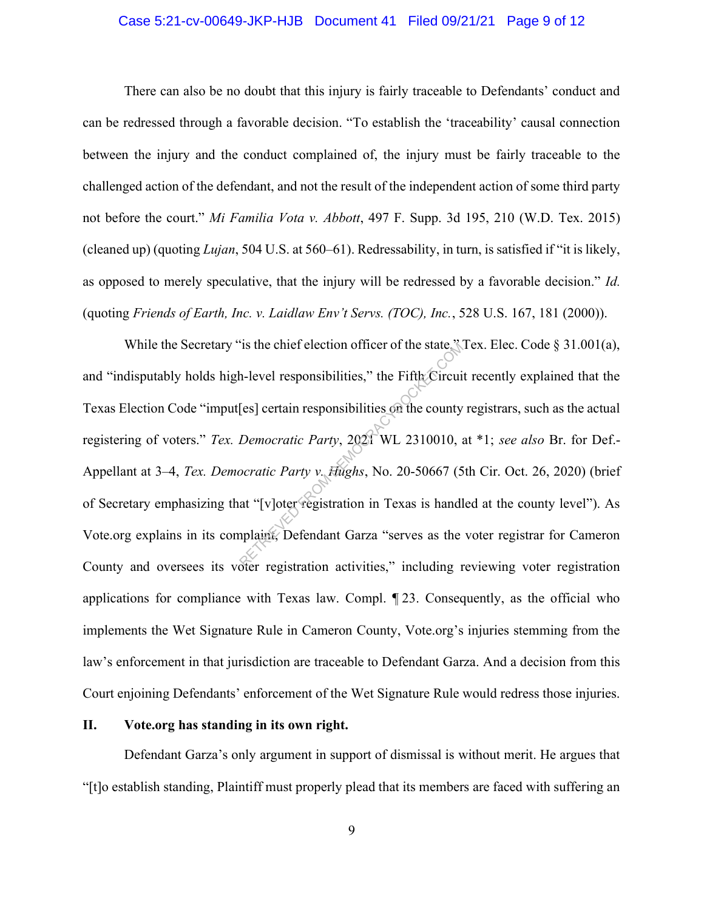### Case 5:21-cv-00649-JKP-HJB Document 41 Filed 09/21/21 Page 9 of 12

There can also be no doubt that this injury is fairly traceable to Defendants' conduct and can be redressed through a favorable decision. "To establish the 'traceability' causal connection between the injury and the conduct complained of, the injury must be fairly traceable to the challenged action of the defendant, and not the result of the independent action of some third party not before the court." Mi Familia Vota v. Abbott, 497 F. Supp. 3d 195, 210 (W.D. Tex. 2015) (cleaned up) (quoting Lujan, 504 U.S. at 560–61). Redressability, in turn, is satisfied if "it is likely, as opposed to merely speculative, that the injury will be redressed by a favorable decision." Id. (quoting Friends of Earth, Inc. v. Laidlaw Env't Servs. (TOC), Inc., 528 U.S. 167, 181 (2000)).

While the Secretary "is the chief election officer of the state," Tex. Elec. Code § 31.001(a), and "indisputably holds high-level responsibilities," the Fifth Circuit recently explained that the Texas Election Code "imput[es] certain responsibilities on the county registrars, such as the actual registering of voters." Tex. Democratic Party, 2021 WL 2310010, at \*1; see also Br. for Def.-Appellant at 3–4, Tex. Democratic Party v. Hughs, No. 20-50667 (5th Cir. Oct. 26, 2020) (brief of Secretary emphasizing that "[v]oter registration in Texas is handled at the county level"). As Vote.org explains in its complaint, Defendant Garza "serves as the voter registrar for Cameron County and oversees its voter registration activities," including reviewing voter registration applications for compliance with Texas law. Compl. ¶ 23. Consequently, as the official who implements the Wet Signature Rule in Cameron County, Vote.org's injuries stemming from the law's enforcement in that jurisdiction are traceable to Defendant Garza. And a decision from this Court enjoining Defendants' enforcement of the Wet Signature Rule would redress those injuries. Is the chief election officer of the state.<br>
A-level responsibilities," the Fifth Circui<br>
[es] certain responsibilities on the county<br>
Democratic Party, 2021 WL 2310010, a<br>
socratic Party v. Hughs, No. 20-50667 (5<br>
at "[v]

## II. Vote.org has standing in its own right.

 Defendant Garza's only argument in support of dismissal is without merit. He argues that "[t]o establish standing, Plaintiff must properly plead that its members are faced with suffering an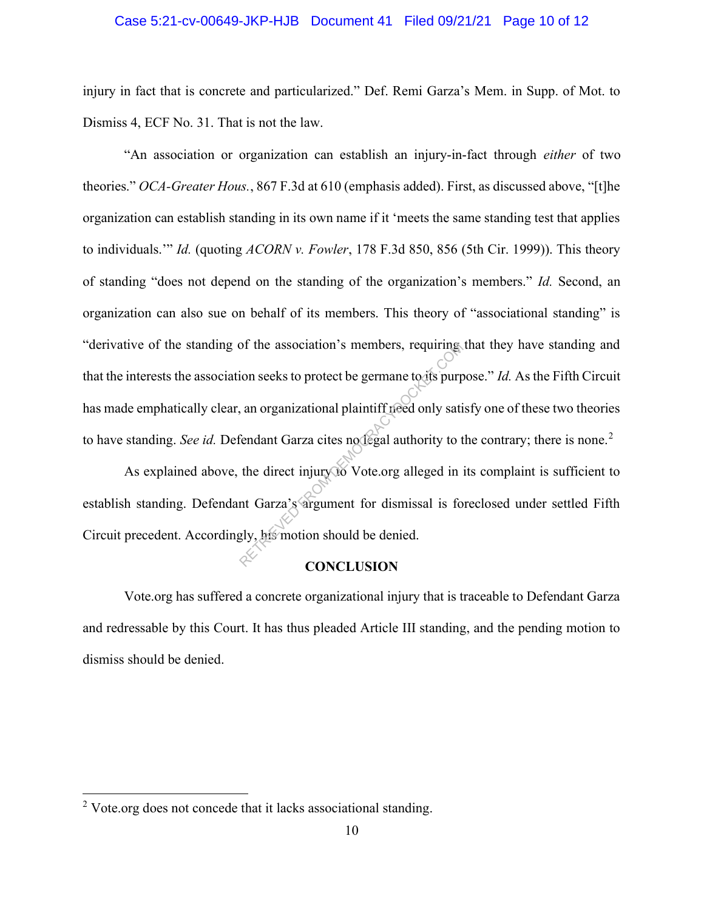### Case 5:21-cv-00649-JKP-HJB Document 41 Filed 09/21/21 Page 10 of 12

injury in fact that is concrete and particularized." Def. Remi Garza's Mem. in Supp. of Mot. to Dismiss 4, ECF No. 31. That is not the law.

 "An association or organization can establish an injury-in-fact through either of two theories." OCA-Greater Hous., 867 F.3d at 610 (emphasis added). First, as discussed above, "[t]he organization can establish standing in its own name if it 'meets the same standing test that applies to individuals." *Id.* (quoting ACORN v. Fowler, 178 F.3d 850, 856 (5th Cir. 1999)). This theory of standing "does not depend on the standing of the organization's members." Id. Second, an organization can also sue on behalf of its members. This theory of "associational standing" is "derivative of the standing of the association's members, requiring that they have standing and that the interests the association seeks to protect be germane to its purpose." Id. As the Fifth Circuit has made emphatically clear, an organizational plaintiff need only satisfy one of these two theories to have standing. See id. Defendant Garza cites not egal authority to the contrary; there is none.<sup>2</sup> of the association's members, requiring<br>ion seeks to protect be germane to its purp<br>and a original plaintiff freed only satisfied<br>and Garza cites notice alleged in the direct injury to Vote.org alleged in<br>the direct injury

As explained above, the direct injury to Vote.org alleged in its complaint is sufficient to establish standing. Defendant Garza's argument for dismissal is foreclosed under settled Fifth Circuit precedent. Accordingly, his motion should be denied.

#### **CONCLUSION**

Vote.org has suffered a concrete organizational injury that is traceable to Defendant Garza and redressable by this Court. It has thus pleaded Article III standing, and the pending motion to dismiss should be denied.

 $2$  Vote.org does not concede that it lacks associational standing.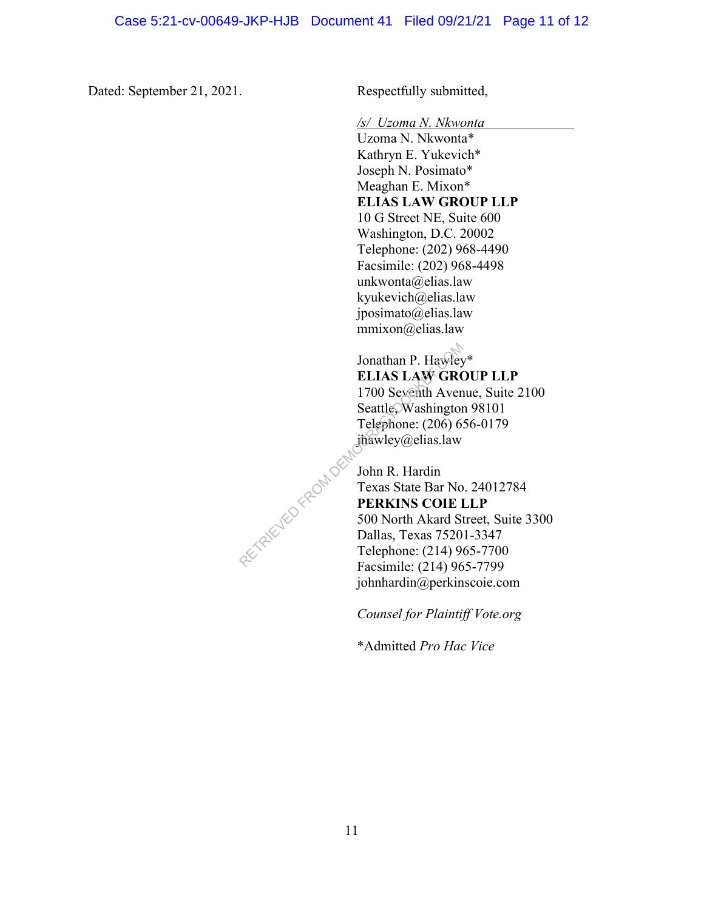Dated: September 21, 2021. Respectfully submitted,

/s/ Uzoma N. Nkwonta

Uzoma N. Nkwonta\* Kathryn E. Yukevich\* Joseph N. Posimato\* Meaghan E. Mixon\* ELIAS LAW GROUP LLP 10 G Street NE, Suite 600 Washington, D.C. 20002 Telephone: (202) 968-4490 Facsimile: (202) 968-4498 unkwonta@elias.law kyukevich@elias.law jposimato@elias.law mmixon@elias.law

Jonathan P. Hawley\* ELIAS LAW GROUP LLP 1700 Seventh Avenue, Suite 2100 Seattle, Washington 98101 Telephone: (206) 656-0179 jhawley@elias.law

John R. Hardin Texas State Bar No. 24012784 PERKINS COIE LLP 500 North Akard Street, Suite 3300 Dallas, Texas 75201-3347 Telephone: (214) 965-7700 Facsimile: (214) 965-7799 johnhardin@perkinscoie.com RETRIEVED FROM DEM

Counsel for Plaintiff Vote.org

\*Admitted Pro Hac Vice